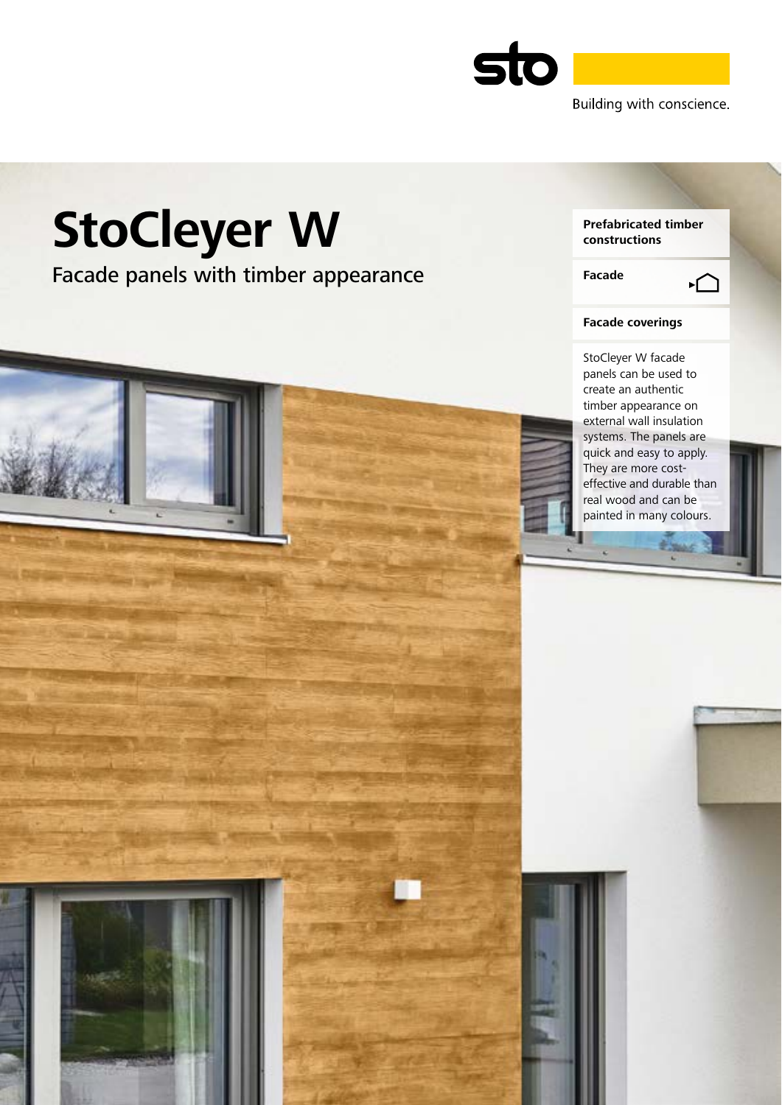

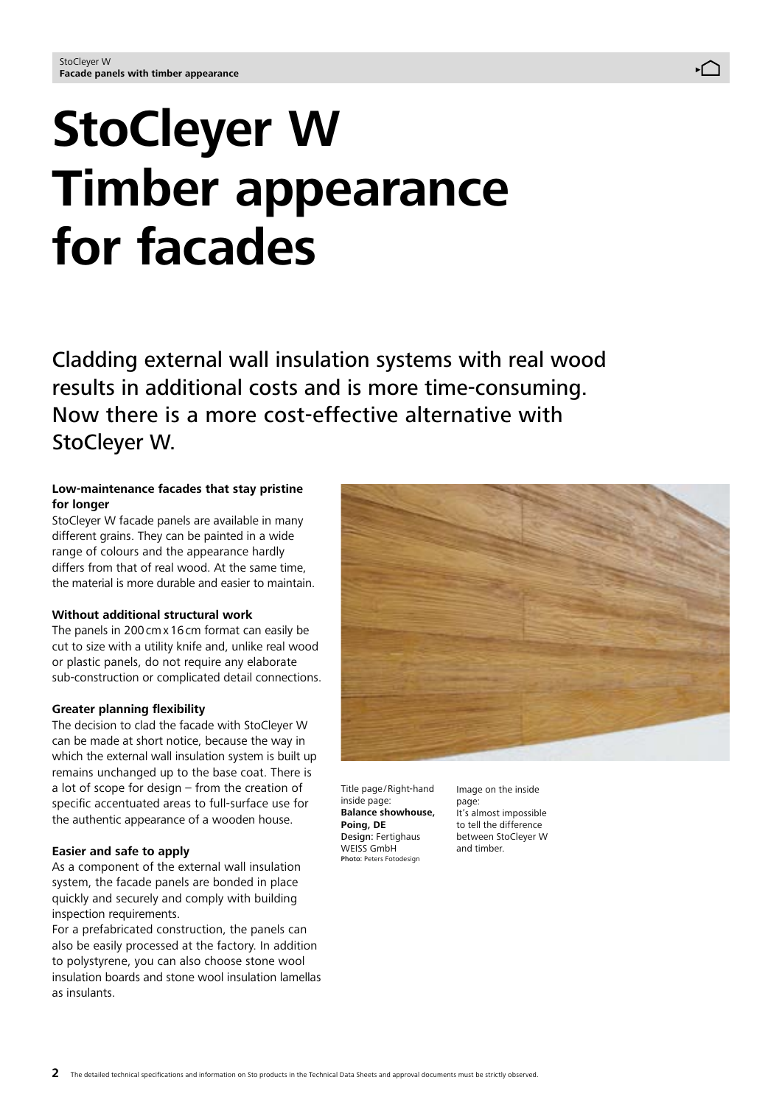# **StoCleyer W Timber appearance for facades**

Cladding external wall insulation systems with real wood results in additional costs and is more time-consuming. Now there is a more cost-effective alternative with StoCleyer W.

## **Low-maintenance facades that stay pristine for longer**

StoCleyer W facade panels are available in many different grains. They can be painted in a wide range of colours and the appearance hardly differs from that of real wood. At the same time, the material is more durable and easier to maintain.

#### **Without additional structural work**

The panels in 200cmx16cm format can easily be cut to size with a utility knife and, unlike real wood or plastic panels, do not require any elaborate sub-construction or complicated detail connections.

#### **Greater planning flexibility**

The decision to clad the facade with StoCleyer W can be made at short notice, because the way in which the external wall insulation system is built up remains unchanged up to the base coat. There is a lot of scope for design – from the creation of specific accentuated areas to full-surface use for the authentic appearance of a wooden house.

#### **Easier and safe to apply**

As a component of the external wall insulation system, the facade panels are bonded in place quickly and securely and comply with building inspection requirements.

For a prefabricated construction, the panels can also be easily processed at the factory. In addition to polystyrene, you can also choose stone wool insulation boards and stone wool insulation lamellas as insulants.



Title page /Right-hand inside page: **Balance showhouse, Poing, DE** Design: Fertighaus WEISS GmbH Photo: Peters Fotodesign

Image on the inside

page: It's almost impossible to tell the difference between StoCleyer W and timber.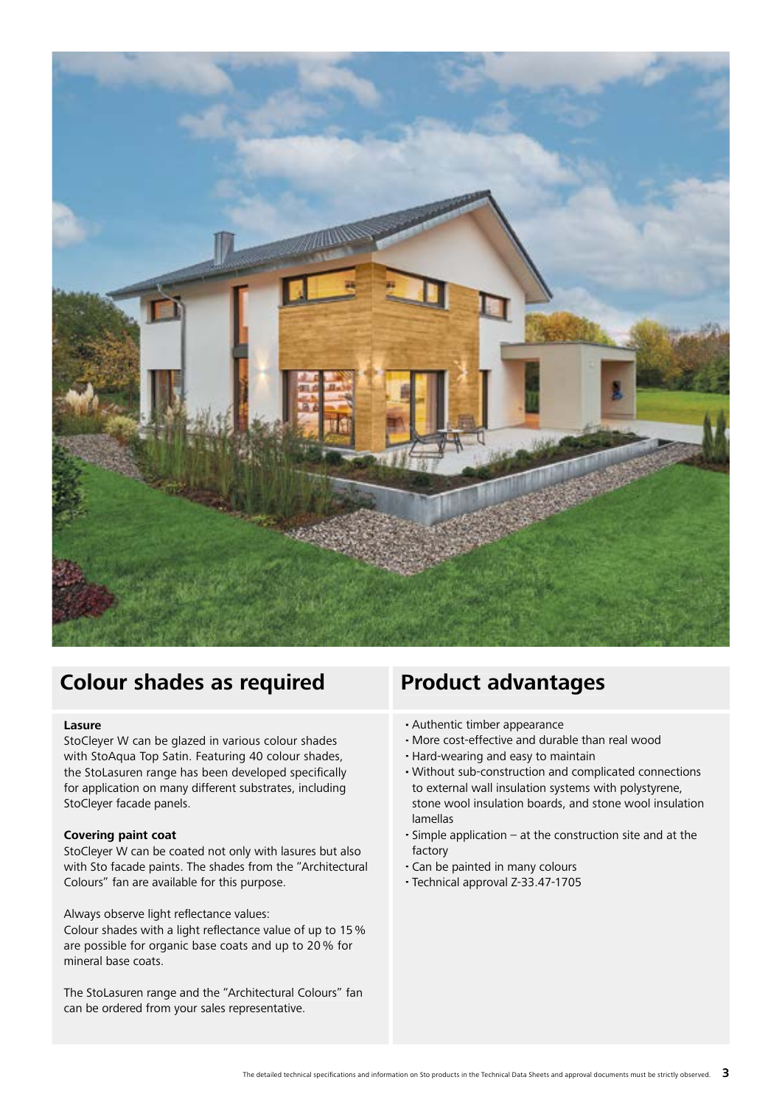

## **Colour shades as required Product advantages**

#### **Lasure**

StoCleyer W can be glazed in various colour shades with StoAqua Top Satin. Featuring 40 colour shades, the StoLasuren range has been developed specifically for application on many different substrates, including StoCleyer facade panels.

#### **Covering paint coat**

StoCleyer W can be coated not only with lasures but also with Sto facade paints. The shades from the "Architectural Colours" fan are available for this purpose.

Always observe light reflectance values:

Colour shades with a light reflectance value of up to 15% are possible for organic base coats and up to 20 % for mineral base coats.

The StoLasuren range and the "Architectural Colours" fan can be ordered from your sales representative.

- **∙** Authentic timber appearance
- **∙** More cost-effective and durable than real wood
- **∙** Hard-wearing and easy to maintain
- **∙** Without sub-construction and complicated connections to external wall insulation systems with polystyrene, stone wool insulation boards, and stone wool insulation lamellas
- **∙** Simple application at the construction site and at the factory
- **∙** Can be painted in many colours
- **∙** Technical approval Z-33.47-1705